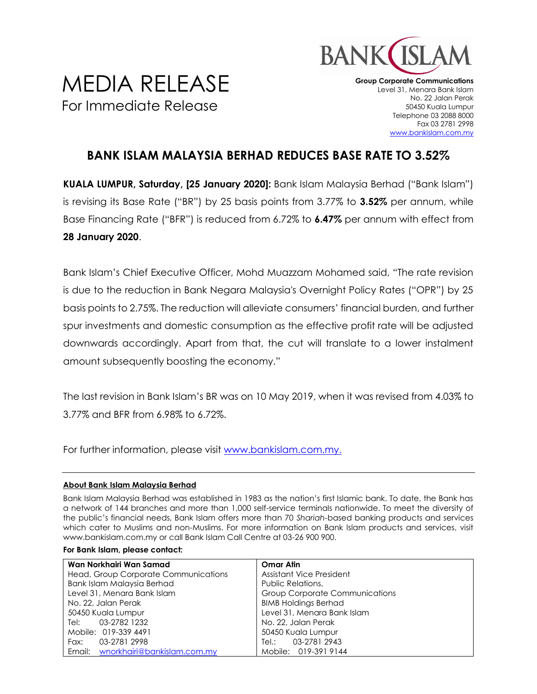

## MEDIA RELEASE For Immediate Release

**Group Corporate Communications** Level 31, Menara Bank Islam No. 22 Jalan Perak 50450 Kuala Lumpur Telephone 03 2088 8000 Fax 03 2781 2998 [www.bankislam.com.my](http://www.bankislam.com.my/)

## **BANK ISLAM MALAYSIA BERHAD REDUCES BASE RATE TO 3.52%**

**KUALA LUMPUR, Saturday, [25 January 2020]:** Bank Islam Malaysia Berhad ("Bank Islam") is revising its Base Rate ("BR") by 25 basis points from 3.77% to **3.52%** per annum, while Base Financing Rate ("BFR") is reduced from 6.72% to **6.47%** per annum with effect from **28 January 2020**.

Bank Islam's Chief Executive Officer, Mohd Muazzam Mohamed said, "The rate revision is due to the reduction in Bank Negara Malaysia's Overnight Policy Rates ("OPR") by 25 basis points to 2.75%. The reduction will alleviate consumers' financial burden, and further spur investments and domestic consumption as the effective profit rate will be adjusted downwards accordingly. Apart from that, the cut will translate to a lower instalment amount subsequently boosting the economy."

The last revision in Bank Islam's BR was on 10 May 2019, when it was revised from 4.03% to 3.77% and BFR from 6.98% to 6.72%.

For further information, please visit [www.bankislam.com.my.](http://www.bankislam.com.my/)

## **About Bank Islam Malaysia Berhad**

Bank Islam Malaysia Berhad was established in 1983 as the nation's first Islamic bank. To date, the Bank has a network of 144 branches and more than 1,000 self-service terminals nationwide. To meet the diversity of the public's financial needs, Bank Islam offers more than 70 *Shariah*-based banking products and services which cater to Muslims and non-Muslims. For more information on Bank Islam products and services, visit www.bankislam.com.my or call Bank Islam Call Centre at 03-26 900 900.

|  |  |  |  | For Bank Islam, please contact: |
|--|--|--|--|---------------------------------|
|--|--|--|--|---------------------------------|

| Wan Norkhairi Wan Samad              | <b>Omar Atin</b>                      |  |  |
|--------------------------------------|---------------------------------------|--|--|
| Head, Group Corporate Communications | Assistant Vice President              |  |  |
| Bank Islam Malaysia Berhad           | Public Relations,                     |  |  |
| Level 31, Menara Bank Islam          | <b>Group Corporate Communications</b> |  |  |
| No. 22, Jalan Perak                  | <b>BIMB Holdings Berhad</b>           |  |  |
| 50450 Kuala Lumpur                   | Level 31, Menara Bank Islam           |  |  |
| 03-2782 1232<br>Tel:                 | No. 22, Jalan Perak                   |  |  |
| Mobile: 019-339 4491                 | 50450 Kuala Lumpur                    |  |  |
| 03-2781 2998<br>Fax:                 | 03-2781 2943<br>Tel.: Tel             |  |  |
| Email: wnorkhairi@bankislam.com.my   | Mobile: 019-391 9144                  |  |  |